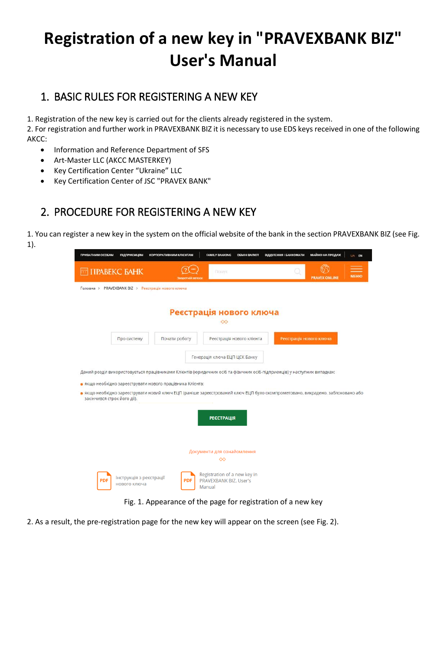## **Registration of a new key in "PRAVEXBANK BIZ" User's Manual**

## 1. BASIC RULES FOR REGISTERING A NEW KEY

1. Registration of the new key is carried out for the clients already registered in the system.

2. For registration and further work in PRAVEXBANK BIZ it is necessary to use EDS keys received in one of the following AKCC:

- Information and Reference Department of SFS
- Art-Master LLC (AKCC MASTERKEY)
- Key Certification Center "Ukraine" LLC
- Key Certification Center of JSC "PRAVEX BANK"

## 2. PROCEDURE FOR REGISTERING A NEW KEY

1. You can register a new key in the system on the official website of the bank in the section PRAVEXBANK BIZ (see Fig. 1).

| <b>THE TIPABEKC BAHK</b>                                                                                                | <b><i>SpoontHill 38 R30</i></b>                           | Flourys:                                                                                                                       | <b>PRAVEX ONLINE</b>    | <b>MEHIO</b> |
|-------------------------------------------------------------------------------------------------------------------------|-----------------------------------------------------------|--------------------------------------------------------------------------------------------------------------------------------|-------------------------|--------------|
| Головна > PRAVEXBANK BIZ > Реєстрація нового ключа                                                                      |                                                           |                                                                                                                                |                         |              |
|                                                                                                                         |                                                           |                                                                                                                                |                         |              |
|                                                                                                                         |                                                           | Реєстрація нового ключа                                                                                                        |                         |              |
|                                                                                                                         |                                                           | ∞                                                                                                                              |                         |              |
|                                                                                                                         |                                                           |                                                                                                                                |                         |              |
| Про систему                                                                                                             | Почати роботу                                             | Реєстрація нового клієнта                                                                                                      | Реєстрація нового ключа |              |
|                                                                                                                         |                                                           | Генерація ключа ЕЦП ЦСК Банку                                                                                                  |                         |              |
|                                                                                                                         |                                                           |                                                                                                                                |                         |              |
| Даний розділ використовується працівниками Клієнтів (юридичних осіб та фізичних осіб-підприємців) у наступних випадках: |                                                           |                                                                                                                                |                         |              |
|                                                                                                                         |                                                           |                                                                                                                                |                         |              |
|                                                                                                                         |                                                           |                                                                                                                                |                         |              |
|                                                                                                                         | • якщо необхідно зареєструвати нового працівника Клієнта; | • якщо необхідно зареєструвати новий ключ ЕЦП (раніше зареєстрований ключ ЕЦП було скомпрометовано, викрадено, заблоковано або |                         |              |
| закінчився строк його дії).                                                                                             |                                                           |                                                                                                                                |                         |              |
|                                                                                                                         |                                                           |                                                                                                                                |                         |              |
|                                                                                                                         |                                                           | <b>РЕЄСТРАЦІЯ</b>                                                                                                              |                         |              |
|                                                                                                                         |                                                           |                                                                                                                                |                         |              |
|                                                                                                                         |                                                           |                                                                                                                                |                         |              |
|                                                                                                                         |                                                           | Документи для ознайомлення                                                                                                     |                         |              |
|                                                                                                                         |                                                           | $\infty$                                                                                                                       |                         |              |
|                                                                                                                         |                                                           | Registration of a new key in                                                                                                   |                         |              |

Fig. 1. Appearance of the page for registration of a new key

2. As a result, the pre-registration page for the new key will appear on the screen (see Fig. 2).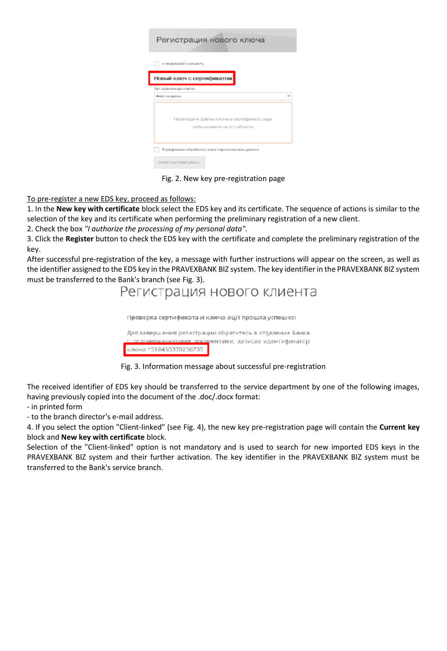| Регистрация нового ключа                                                 |  |  |  |  |  |  |
|--------------------------------------------------------------------------|--|--|--|--|--|--|
| с привязкой к клиекту                                                    |  |  |  |  |  |  |
| Новый ключ с сертификатом                                                |  |  |  |  |  |  |
| Тип хранилища ключа                                                      |  |  |  |  |  |  |
| Файл на диске                                                            |  |  |  |  |  |  |
| Перетащите файлы ключа и сертификата сюда<br>либо нажмите на эту область |  |  |  |  |  |  |
| Я разрешаю обработку моих персональных данных                            |  |  |  |  |  |  |
| <b>ЗАРЕГИСТРИРОВАТЬ</b>                                                  |  |  |  |  |  |  |

Fig. 2. New key pre-registration page

To pre-register a new EDS key, proceed as follows:

1. In the **New key with certificate** block select the EDS key and its certificate. The sequence of actions is similar to the selection of the key and its certificate when performing the preliminary registration of a new client.

2. Check the box *"I authorize the processing of my personal data".*

3. Click the **Register** button to check the EDS key with the certificate and complete the preliminary registration of the key.

After successful pre-registration of the key, a message with further instructions will appear on the screen, as well as the identifier assigned to the EDS key in the PRAVEXBANK BIZ system. The key identifier in the PRAVEXBANK BIZ system must be transferred to the Bank's branch (see Fig. 3).

Регистрация нового клиента

Проверка сертификата и ключа ЭЦП прошла успешно!

Для завершения регистрации обратитесь в отделение Банка полтвержданошими локументами, записав идентификатор ключа 1518430370236735

Fig. 3. Information message about successful pre-registration

The received identifier of EDS key should be transferred to the service department by one of the following images, having previously copied into the document of the .doc/.docx format:

- in printed form

- to the branch director's e-mail address.

4. If you select the option "Client-linked" (see Fig. 4), the new key pre-registration page will contain the **Current key**  block and **New key with certificate** block.

Selection of the "Client-linked" option is not mandatory and is used to search for new imported EDS keys in the PRAVEXBANK BIZ system and their further activation. The key identifier in the PRAVEXBANK BIZ system must be transferred to the Bank's service branch.